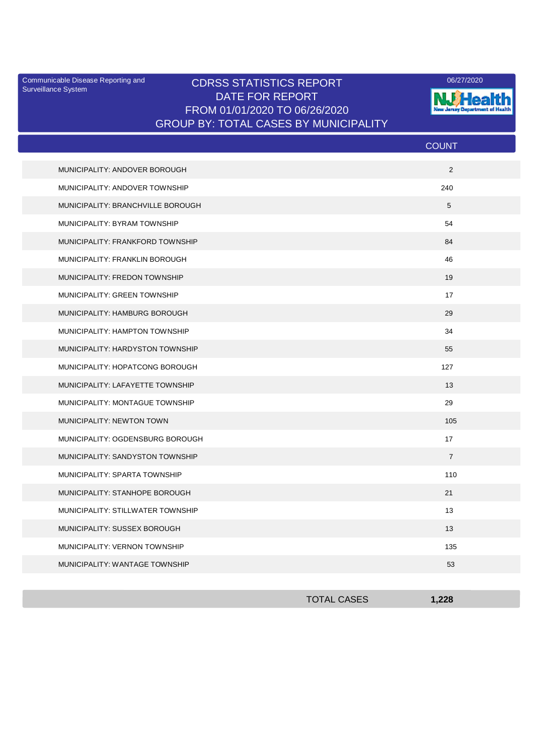Surveillance System

## Communicable Disease Reporting and CDRSS STATISTICS REPORT 2008/27/2020 DATE FOR REPORT FROM 01/01/2020 TO 06/26/2020 GROUP BY: TOTAL CASES BY MUNICIPALITY



|                                   | <b>COUNT</b>   |
|-----------------------------------|----------------|
| MUNICIPALITY: ANDOVER BOROUGH     | 2              |
| MUNICIPALITY: ANDOVER TOWNSHIP    | 240            |
| MUNICIPALITY: BRANCHVILLE BOROUGH | 5              |
| MUNICIPALITY: BYRAM TOWNSHIP      | 54             |
| MUNICIPALITY: FRANKFORD TOWNSHIP  | 84             |
| MUNICIPALITY: FRANKLIN BOROUGH    | 46             |
| MUNICIPALITY: FREDON TOWNSHIP     | 19             |
| MUNICIPALITY: GREEN TOWNSHIP      | 17             |
| MUNICIPALITY: HAMBURG BOROUGH     | 29             |
| MUNICIPALITY: HAMPTON TOWNSHIP    | 34             |
| MUNICIPALITY: HARDYSTON TOWNSHIP  | 55             |
| MUNICIPALITY: HOPATCONG BOROUGH   | 127            |
| MUNICIPALITY: LAFAYETTE TOWNSHIP  | 13             |
| MUNICIPALITY: MONTAGUE TOWNSHIP   | 29             |
| MUNICIPALITY: NEWTON TOWN         | 105            |
| MUNICIPALITY: OGDENSBURG BOROUGH  | 17             |
| MUNICIPALITY: SANDYSTON TOWNSHIP  | $\overline{7}$ |
| MUNICIPALITY: SPARTA TOWNSHIP     | 110            |
| MUNICIPALITY: STANHOPE BOROUGH    | 21             |
| MUNICIPALITY: STILLWATER TOWNSHIP | 13             |
| MUNICIPALITY: SUSSEX BOROUGH      | 13             |
| MUNICIPALITY: VERNON TOWNSHIP     | 135            |
| MUNICIPALITY: WANTAGE TOWNSHIP    | 53             |

| <b>TOTAL CASES</b> | 1,228 |
|--------------------|-------|
|                    |       |